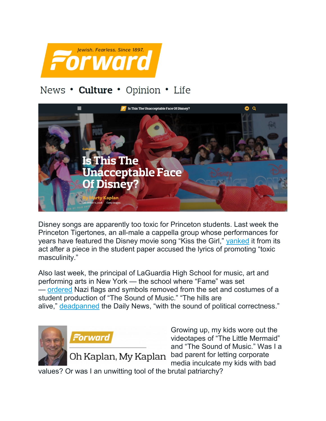

## News • **Culture •** Opinion • Life



Disney songs are apparently too toxic for Princeton students. Last week the Princeton Tigertones, an all-male a cappella group whose performances for years have featured the Disney movie song "Kiss the Girl," [yanked](https://www.nbcnews.com/news/us-news/princeton-university-capella-group-cuts-song-little-mermaid-over-toxic-n944531) it from its act after a piece in the student paper accused the lyrics of promoting "toxic masculinity."

Also last week, the principal of LaGuardia High School for music, art and performing arts in New York — the school where "Fame" was set — [ordered](https://forward.com/culture/books/415582/laguardia-high-schools-sound-of-music-scraps-nazi-symbols/?attribution=articles-hero-item-text-1) Nazi flags and symbols removed from the set and costumes of a student production of "The Sound of Music." "The hills are alive," [deadpanned](https://www.nydailynews.com/new-york/manhattan/ny-metro-sound-of-music-nazi-20181205-story.html) the Daily News, "with the sound of political correctness."



Growing up, my kids wore out the videotapes of "The Little Mermaid" and "The Sound of Music." Was I a Oh Kaplan, My Kaplan bad parent for letting corporate media inculcate my kids with bad

values? Or was I an unwitting tool of the brutal patriarchy?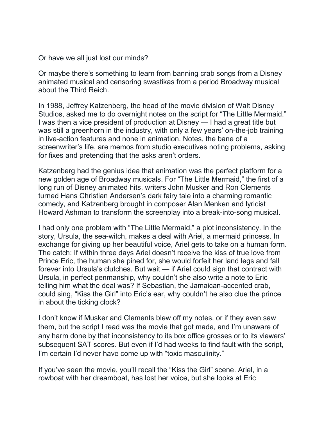Or have we all just lost our minds?

Or maybe there's something to learn from banning crab songs from a Disney animated musical and censoring swastikas from a period Broadway musical about the Third Reich.

In 1988, Jeffrey Katzenberg, the head of the movie division of Walt Disney Studios, asked me to do overnight notes on the script for "The Little Mermaid." I was then a vice president of production at Disney — I had a great title but was still a greenhorn in the industry, with only a few years' on-the-job training in live-action features and none in animation. Notes, the bane of a screenwriter's life, are memos from studio executives noting problems, asking for fixes and pretending that the asks aren't orders.

Katzenberg had the genius idea that animation was the perfect platform for a new golden age of Broadway musicals. For "The Little Mermaid," the first of a long run of Disney animated hits, writers John Musker and Ron Clements turned Hans Christian Andersen's dark fairy tale into a charming romantic comedy, and Katzenberg brought in composer Alan Menken and lyricist Howard Ashman to transform the screenplay into a break-into-song musical.

I had only one problem with "The Little Mermaid," a plot inconsistency. In the story, Ursula, the sea-witch, makes a deal with Ariel, a mermaid princess. In exchange for giving up her beautiful voice, Ariel gets to take on a human form. The catch: If within three days Ariel doesn't receive the kiss of true love from Prince Eric, the human she pined for, she would forfeit her land legs and fall forever into Ursula's clutches. But wait — if Ariel could sign that contract with Ursula, in perfect penmanship, why couldn't she also write a note to Eric telling him what the deal was? If Sebastian, the Jamaican-accented crab, could sing, "Kiss the Girl" into Eric's ear, why couldn't he also clue the prince in about the ticking clock?

I don't know if Musker and Clements blew off my notes, or if they even saw them, but the script I read was the movie that got made, and I'm unaware of any harm done by that inconsistency to its box office grosses or to its viewers' subsequent SAT scores. But even if I'd had weeks to find fault with the script, I'm certain I'd never have come up with "toxic masculinity."

If you've seen the movie, you'll recall the "Kiss the Girl" scene. Ariel, in a rowboat with her dreamboat, has lost her voice, but she looks at Eric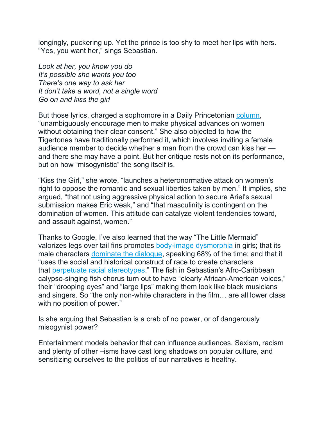longingly, puckering up. Yet the prince is too shy to meet her lips with hers. "Yes, you want her," sings Sebastian.

*Look at her, you know you do It's possible she wants you too There's one way to ask her It don't take a word, not a single word Go on and kiss the girl*

But those lyrics, charged a sophomore in a Daily Princetonian [column,](http://www.dailyprincetonian.com/article/2018/11/dear-tigertones-please-stop-singing-kiss-da-girl) "unambiguously encourage men to make physical advances on women without obtaining their clear consent." She also objected to how the Tigertones have traditionally performed it, which involves inviting a female audience member to decide whether a man from the crowd can kiss her and there she may have a point. But her critique rests not on its performance, but on how "misogynistic" the song itself is.

"Kiss the Girl," she wrote, "launches a heteronormative attack on women's right to oppose the romantic and sexual liberties taken by men." It implies, she argued, "that not using aggressive physical action to secure Ariel's sexual submission makes Eric weak," and "that masculinity is contingent on the domination of women. This attitude can catalyze violent tendencies toward, and assault against, women."

Thanks to Google, I've also learned that the way "The Little Mermaid" valorizes legs over tail fins promotes [body-image dysmorphia](http://whatculture.com/film/10-beloved-disney-characters-serious-mental-health-issues?page=11) in girls; that its male characters [dominate the dialogue,](https://www.washingtonpost.com/news/wonk/wp/2016/01/25/researchers-have-discovered-a-major-problem-with-the-little-mermaid-and-other-disney-movies/?utm_term=.651f36aa859f) speaking 68% of the time; and that it "uses the social and historical construct of race to create characters that [perpetuate racial stereotypes.](https://thelittlemermaidcontroversy.wordpress.com/)" The fish in Sebastian's Afro-Caribbean calypso-singing fish chorus turn out to have "clearly African-American voices," their "drooping eyes" and "large lips" making them look like black musicians and singers. So "the only non-white characters in the film… are all lower class with no position of power."

Is she arguing that Sebastian is a crab of no power, or of dangerously misogynist power?

Entertainment models behavior that can influence audiences. Sexism, racism and plenty of other –isms have cast long shadows on popular culture, and sensitizing ourselves to the politics of our narratives is healthy.